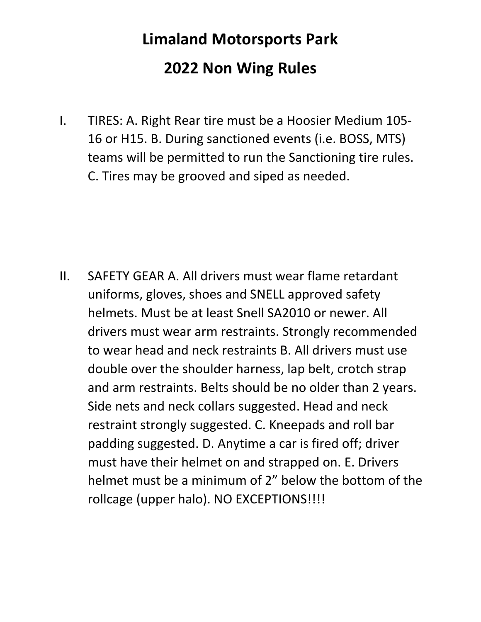## **Limaland Motorsports Park 2022 Non Wing Rules**

I. TIRES: A. Right Rear tire must be a Hoosier Medium 105- 16 or H15. B. During sanctioned events (i.e. BOSS, MTS) teams will be permitted to run the Sanctioning tire rules. C. Tires may be grooved and siped as needed.

II. SAFETY GEAR A. All drivers must wear flame retardant uniforms, gloves, shoes and SNELL approved safety helmets. Must be at least Snell SA2010 or newer. All drivers must wear arm restraints. Strongly recommended to wear head and neck restraints B. All drivers must use double over the shoulder harness, lap belt, crotch strap and arm restraints. Belts should be no older than 2 years. Side nets and neck collars suggested. Head and neck restraint strongly suggested. C. Kneepads and roll bar padding suggested. D. Anytime a car is fired off; driver must have their helmet on and strapped on. E. Drivers helmet must be a minimum of 2" below the bottom of the rollcage (upper halo). NO EXCEPTIONS!!!!